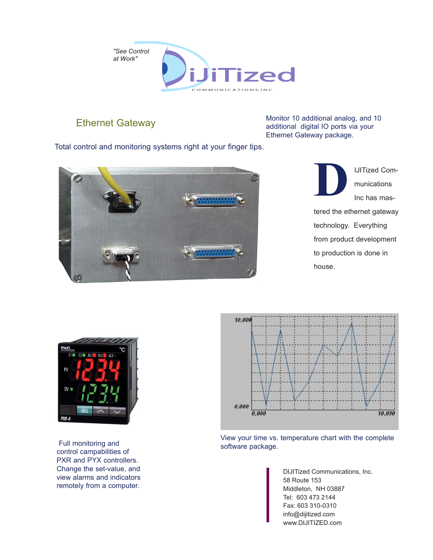

## Ethernet Gateway

Monitor 10 additional analog, and 10 additional digital IO ports via your Ethernet Gateway package.

Total control and monitoring systems right at your finger tips.



IJITized Communications Inc has mas-**D**

tered the ethernet gateway technology. Everything from product development to production is done in house.



 Full monitoring and control campabilities of PXR and PYX controllers. Change the set-value, and view alarms and indicators remotely from a computer.



View your time vs. temperature chart with the complete software package.

> DIJITized Communications, Inc. 58 Route 153 Middleton, NH 03887 Tel: 603 473 2144 Fax: 603 310-0310 info@dijitized.com www.DIJITIZED.com